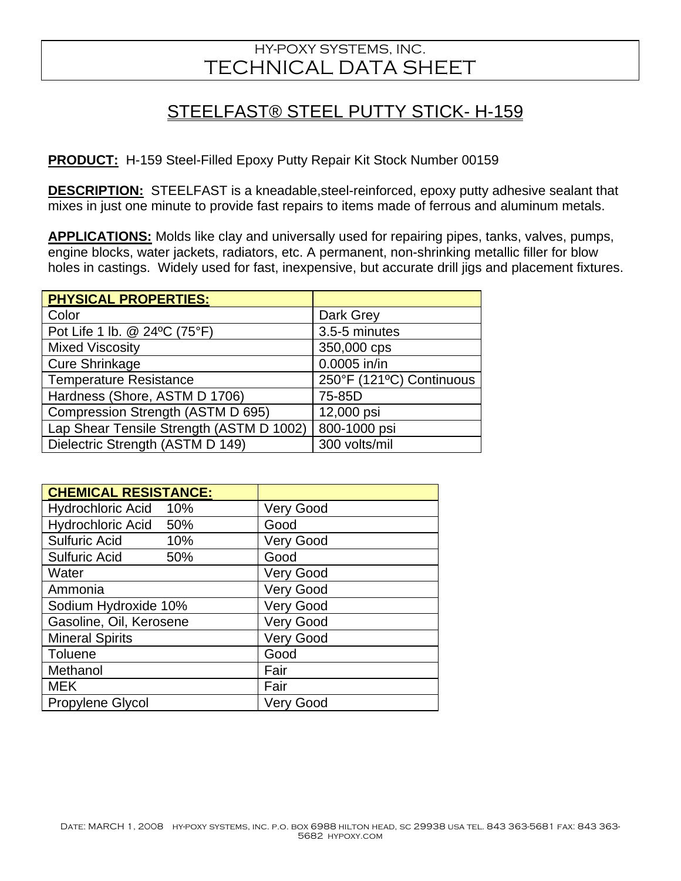## HY-POXY SYSTEMS, INC. TECHNICAL DATA SHEET

## STEELFAST® STEEL PUTTY STICK- H-159

**PRODUCT:** H-159 Steel-Filled Epoxy Putty Repair Kit Stock Number 00159

**DESCRIPTION:** STEELFAST is a kneadable, steel-reinforced, epoxy putty adhesive sealant that mixes in just one minute to provide fast repairs to items made of ferrous and aluminum metals.

**APPLICATIONS:** Molds like clay and universally used for repairing pipes, tanks, valves, pumps, engine blocks, water jackets, radiators, etc. A permanent, non-shrinking metallic filler for blow holes in castings. Widely used for fast, inexpensive, but accurate drill jigs and placement fixtures.

| <b>PHYSICAL PROPERTIES:</b>              |                          |
|------------------------------------------|--------------------------|
| Color                                    | Dark Grey                |
| Pot Life 1 lb. @ 24°C (75°F)             | 3.5-5 minutes            |
| <b>Mixed Viscosity</b>                   | 350,000 cps              |
| <b>Cure Shrinkage</b>                    | 0.0005 in/in             |
| <b>Temperature Resistance</b>            | 250°F (121°C) Continuous |
| Hardness (Shore, ASTM D 1706)            | 75-85D                   |
| Compression Strength (ASTM D 695)        | 12,000 psi               |
| Lap Shear Tensile Strength (ASTM D 1002) | 800-1000 psi             |
| Dielectric Strength (ASTM D 149)         | 300 volts/mil            |

| <b>CHEMICAL RESISTANCE:</b> |                  |
|-----------------------------|------------------|
| Hydrochloric Acid 10%       | <b>Very Good</b> |
| Hydrochloric Acid 50%       | Good             |
| <b>Sulfuric Acid</b><br>10% | <b>Very Good</b> |
| <b>Sulfuric Acid</b><br>50% | Good             |
| Water                       | <b>Very Good</b> |
| Ammonia                     | <b>Very Good</b> |
| Sodium Hydroxide 10%        | <b>Very Good</b> |
| Gasoline, Oil, Kerosene     | <b>Very Good</b> |
| <b>Mineral Spirits</b>      | <b>Very Good</b> |
| Toluene                     | Good             |
| Methanol                    | Fair             |
| <b>MEK</b>                  | Fair             |
| Propylene Glycol            | <b>Very Good</b> |